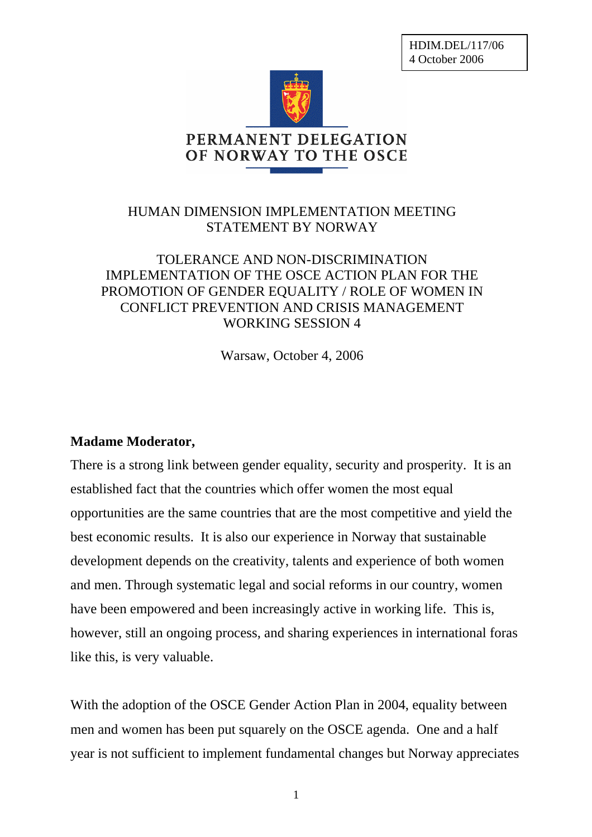HDIM.DEL/117/06 4 October 2006



## HUMAN DIMENSION IMPLEMENTATION MEETING STATEMENT BY NORWAY

## TOLERANCE AND NON-DISCRIMINATION IMPLEMENTATION OF THE OSCE ACTION PLAN FOR THE PROMOTION OF GENDER EQUALITY / ROLE OF WOMEN IN CONFLICT PREVENTION AND CRISIS MANAGEMENT WORKING SESSION 4

Warsaw, October 4, 2006

## **Madame Moderator,**

There is a strong link between gender equality, security and prosperity. It is an established fact that the countries which offer women the most equal opportunities are the same countries that are the most competitive and yield the best economic results. It is also our experience in Norway that sustainable development depends on the creativity, talents and experience of both women and men. Through systematic legal and social reforms in our country, women have been empowered and been increasingly active in working life. This is, however, still an ongoing process, and sharing experiences in international foras like this, is very valuable.

With the adoption of the OSCE Gender Action Plan in 2004, equality between men and women has been put squarely on the OSCE agenda. One and a half year is not sufficient to implement fundamental changes but Norway appreciates

1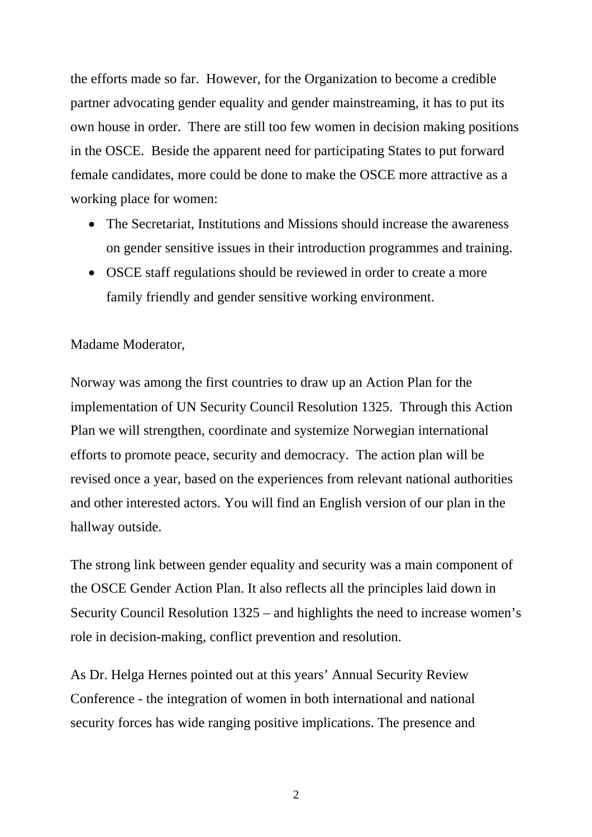the efforts made so far. However, for the Organization to become a credible partner advocating gender equality and gender mainstreaming, it has to put its own house in order. There are still too few women in decision making positions in the OSCE. Beside the apparent need for participating States to put forward female candidates, more could be done to make the OSCE more attractive as a working place for women:

- The Secretariat, Institutions and Missions should increase the awareness on gender sensitive issues in their introduction programmes and training.
- OSCE staff regulations should be reviewed in order to create a more family friendly and gender sensitive working environment.

## Madame Moderator,

Norway was among the first countries to draw up an Action Plan for the implementation of UN Security Council Resolution 1325. Through this Action Plan we will strengthen, coordinate and systemize Norwegian international efforts to promote peace, security and democracy. The action plan will be revised once a year, based on the experiences from relevant national authorities and other interested actors. You will find an English version of our plan in the hallway outside.

The strong link between gender equality and security was a main component of the OSCE Gender Action Plan. It also reflects all the principles laid down in Security Council Resolution 1325 – and highlights the need to increase women's role in decision-making, conflict prevention and resolution.

As Dr. Helga Hernes pointed out at this years' Annual Security Review Conference - the integration of women in both international and national security forces has wide ranging positive implications. The presence and